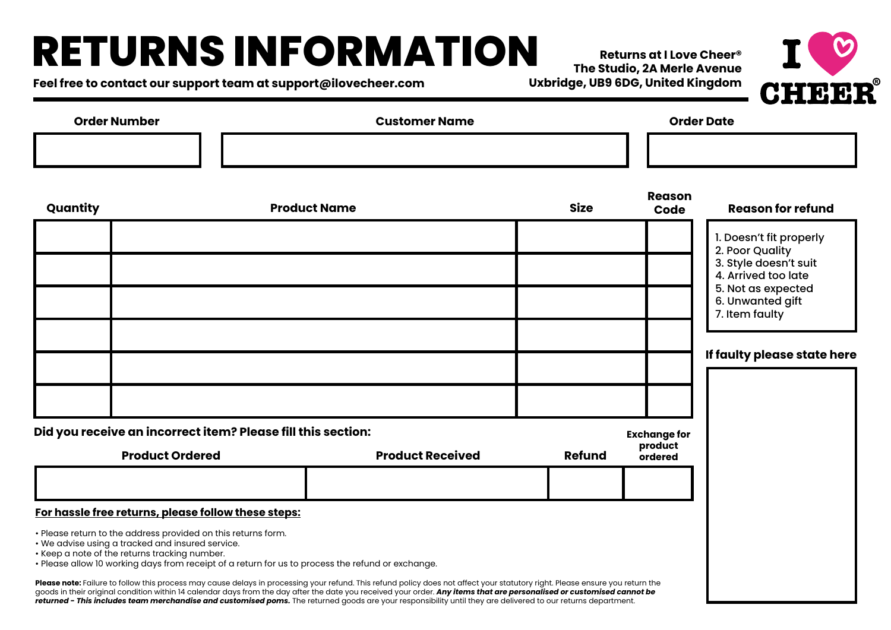## **RETURNS INFORMATION**

**Feel free to contact our support team at support@ilovecheer.com**

**Returns at I Love Cheer® The Studio, 2A Merle Avenue Uxbridge, UB9 6DG, United Kingdom**



| <b>Order Number</b>                       | <b>Customer Name</b> |            | <b>Order Date</b>                                    |  |  |
|-------------------------------------------|----------------------|------------|------------------------------------------------------|--|--|
|                                           |                      |            |                                                      |  |  |
|                                           |                      |            |                                                      |  |  |
| $\sim$ $\sim$ $\sim$ $\sim$ $\sim$ $\sim$ | _ _ _ _              | $ \bullet$ | <b>Reason</b><br>and the contract of the contract of |  |  |

| Quantity |                                                              | <b>Product Name</b>     | <b>Size</b>   | Code                           | <b>Reason for refund</b>                                                                                                                               |
|----------|--------------------------------------------------------------|-------------------------|---------------|--------------------------------|--------------------------------------------------------------------------------------------------------------------------------------------------------|
|          |                                                              |                         |               |                                | I. Doesn't fit properly<br>2. Poor Quality<br>3. Style doesn't suit<br>4. Arrived too late<br>5. Not as expected<br>6. Unwanted gift<br>7. Item faulty |
|          |                                                              |                         |               |                                |                                                                                                                                                        |
|          |                                                              |                         |               |                                |                                                                                                                                                        |
|          |                                                              |                         |               |                                | If faulty please state here                                                                                                                            |
|          |                                                              |                         |               |                                |                                                                                                                                                        |
|          |                                                              |                         |               |                                |                                                                                                                                                        |
|          | Did you receive an incorrect item? Please fill this section: | <b>Product Received</b> |               | <b>Exchange for</b><br>product |                                                                                                                                                        |
|          | <b>Product Ordered</b>                                       |                         | <b>Refund</b> | ordered                        |                                                                                                                                                        |
|          | For hassle free returns, please follow these steps:          |                         |               |                                |                                                                                                                                                        |

• Please return to the address provided on this returns form.

• We advise using a tracked and insured service.

• Keep a note of the returns tracking number.

• Please allow 10 working days from receipt of a return for us to process the refund or exchange.

Please note: Failure to follow this process may cause delays in processing your refund. This refund policy does not affect your statutory right. Please ensure you return the goods in their original condition within 14 calendar days from the day after the date you received your order. *Any items that are personalised or customised cannot be returned - This includes team merchandise and customised poms.* The returned goods are your responsibility until they are delivered to our returns department.